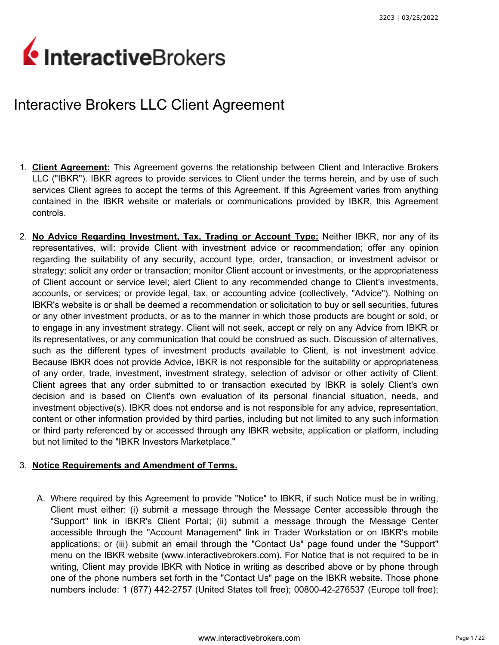# InteractiveBrokers

# Interactive Brokers LLC Client Agreement

- 1. **Client Agreement:** This Agreement governs the relationship between Client and Interactive Brokers LLC ("IBKR"). IBKR agrees to provide services to Client under the terms herein, and by use of such services Client agrees to accept the terms of this Agreement. If this Agreement varies from anything contained in the IBKR website or materials or communications provided by IBKR, this Agreement controls.
- 2. **No Advice Regarding Investment, Tax, Trading or Account Type:** Neither IBKR, nor any of its representatives, will: provide Client with investment advice or recommendation; offer any opinion regarding the suitability of any security, account type, order, transaction, or investment advisor or strategy; solicit any order or transaction; monitor Client account or investments, or the appropriateness of Client account or service level; alert Client to any recommended change to Client's investments, accounts, or services; or provide legal, tax, or accounting advice (collectively, "Advice"). Nothing on IBKR's website is or shall be deemed a recommendation or solicitation to buy or sell securities, futures or any other investment products, or as to the manner in which those products are bought or sold, or to engage in any investment strategy. Client will not seek, accept or rely on any Advice from IBKR or its representatives, or any communication that could be construed as such. Discussion of alternatives, such as the different types of investment products available to Client, is not investment advice. Because IBKR does not provide Advice, IBKR is not responsible for the suitability or appropriateness of any order, trade, investment, investment strategy, selection of advisor or other activity of Client. Client agrees that any order submitted to or transaction executed by IBKR is solely Client's own decision and is based on Client's own evaluation of its personal financial situation, needs, and investment objective(s). IBKR does not endorse and is not responsible for any advice, representation, content or other information provided by third parties, including but not limited to any such information or third party referenced by or accessed through any IBKR website, application or platform, including but not limited to the "IBKR Investors Marketplace."

# 3. **Notice Requirements and Amendment of Terms.**

A. Where required by this Agreement to provide "Notice" to IBKR, if such Notice must be in writing, Client must either: (i) submit a message through the Message Center accessible through the "Support" link in IBKR's Client Portal; (ii) submit a message through the Message Center accessible through the "Account Management" link in Trader Workstation or on IBKR's mobile applications; or (iii) submit an email through the "Contact Us" page found under the "Support" menu on the IBKR website (www.interactivebrokers.com). For Notice that is not required to be in writing, Client may provide IBKR with Notice in writing as described above or by phone through one of the phone numbers set forth in the "Contact Us" page on the IBKR website. Those phone numbers include: 1 (877) 442-2757 (United States toll free); 00800-42-276537 (Europe toll free);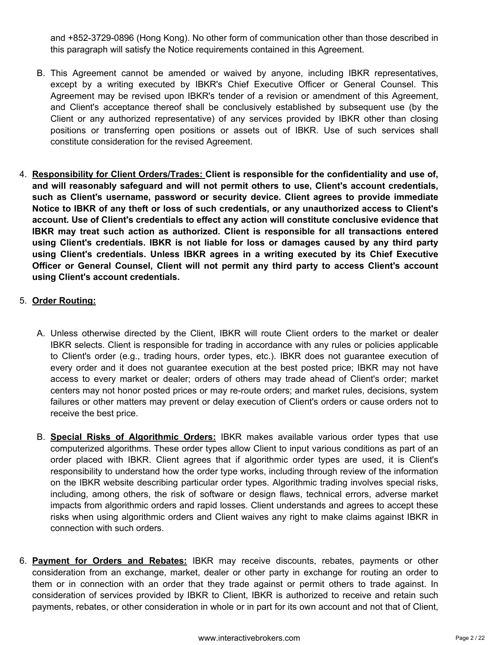and +852-3729-0896 (Hong Kong). No other form of communication other than those described in this paragraph will satisfy the Notice requirements contained in this Agreement.

- B. This Agreement cannot be amended or waived by anyone, including IBKR representatives, except by a writing executed by IBKR's Chief Executive Officer or General Counsel. This Agreement may be revised upon IBKR's tender of a revision or amendment of this Agreement, and Client's acceptance thereof shall be conclusively established by subsequent use (by the Client or any authorized representative) of any services provided by IBKR other than closing positions or transferring open positions or assets out of IBKR. Use of such services shall constitute consideration for the revised Agreement.
- 4. **Responsibility for Client Orders/Trades: Client is responsible for the confidentiality and use of, and will reasonably safeguard and will not permit others to use, Client's account credentials, such as Client's username, password or security device. Client agrees to provide immediate Notice to IBKR of any theft or loss of such credentials, or any unauthorized access to Client's account. Use of Client's credentials to effect any action will constitute conclusive evidence that IBKR may treat such action as authorized. Client is responsible for all transactions entered using Client's credentials. IBKR is not liable for loss or damages caused by any third party using Client's credentials. Unless IBKR agrees in a writing executed by its Chief Executive Officer or General Counsel, Client will not permit any third party to access Client's account using Client's account credentials.**

# 5. **Order Routing:**

- A. Unless otherwise directed by the Client, IBKR will route Client orders to the market or dealer IBKR selects. Client is responsible for trading in accordance with any rules or policies applicable to Client's order (e.g., trading hours, order types, etc.). IBKR does not guarantee execution of every order and it does not guarantee execution at the best posted price; IBKR may not have access to every market or dealer; orders of others may trade ahead of Client's order; market centers may not honor posted prices or may re-route orders; and market rules, decisions, system failures or other matters may prevent or delay execution of Client's orders or cause orders not to receive the best price.
- B. **Special Risks of Algorithmic Orders:** IBKR makes available various order types that use computerized algorithms. These order types allow Client to input various conditions as part of an order placed with IBKR. Client agrees that if algorithmic order types are used, it is Client's responsibility to understand how the order type works, including through review of the information on the IBKR website describing particular order types. Algorithmic trading involves special risks, including, among others, the risk of software or design flaws, technical errors, adverse market impacts from algorithmic orders and rapid losses. Client understands and agrees to accept these risks when using algorithmic orders and Client waives any right to make claims against IBKR in connection with such orders.
- 6. **Payment for Orders and Rebates:** IBKR may receive discounts, rebates, payments or other consideration from an exchange, market, dealer or other party in exchange for routing an order to them or in connection with an order that they trade against or permit others to trade against. In consideration of services provided by IBKR to Client, IBKR is authorized to receive and retain such payments, rebates, or other consideration in whole or in part for its own account and not that of Client,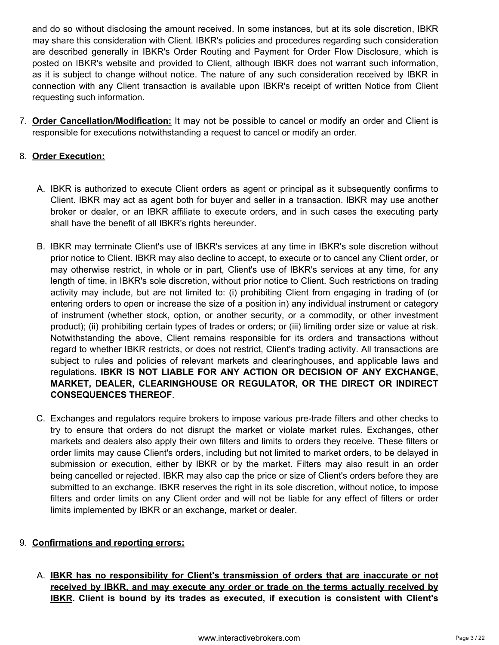and do so without disclosing the amount received. In some instances, but at its sole discretion, IBKR may share this consideration with Client. IBKR's policies and procedures regarding such consideration are described generally in IBKR's Order Routing and Payment for Order Flow Disclosure, which is posted on IBKR's website and provided to Client, although IBKR does not warrant such information, as it is subject to change without notice. The nature of any such consideration received by IBKR in connection with any Client transaction is available upon IBKR's receipt of written Notice from Client requesting such information.

7. **Order Cancellation/Modification:** It may not be possible to cancel or modify an order and Client is responsible for executions notwithstanding a request to cancel or modify an order.

# 8. **Order Execution:**

- A. IBKR is authorized to execute Client orders as agent or principal as it subsequently confirms to Client. IBKR may act as agent both for buyer and seller in a transaction. IBKR may use another broker or dealer, or an IBKR affiliate to execute orders, and in such cases the executing party shall have the benefit of all IBKR's rights hereunder.
- B. IBKR may terminate Client's use of IBKR's services at any time in IBKR's sole discretion without prior notice to Client. IBKR may also decline to accept, to execute or to cancel any Client order, or may otherwise restrict, in whole or in part, Client's use of IBKR's services at any time, for any length of time, in IBKR's sole discretion, without prior notice to Client. Such restrictions on trading activity may include, but are not limited to: (i) prohibiting Client from engaging in trading of (or entering orders to open or increase the size of a position in) any individual instrument or category of instrument (whether stock, option, or another security, or a commodity, or other investment product); (ii) prohibiting certain types of trades or orders; or (iii) limiting order size or value at risk. Notwithstanding the above, Client remains responsible for its orders and transactions without regard to whether IBKR restricts, or does not restrict, Client's trading activity. All transactions are subject to rules and policies of relevant markets and clearinghouses, and applicable laws and regulations. **IBKR IS NOT LIABLE FOR ANY ACTION OR DECISION OF ANY EXCHANGE, MARKET, DEALER, CLEARINGHOUSE OR REGULATOR, OR THE DIRECT OR INDIRECT CONSEQUENCES THEREOF**.
- C. Exchanges and regulators require brokers to impose various pre-trade filters and other checks to try to ensure that orders do not disrupt the market or violate market rules. Exchanges, other markets and dealers also apply their own filters and limits to orders they receive. These filters or order limits may cause Client's orders, including but not limited to market orders, to be delayed in submission or execution, either by IBKR or by the market. Filters may also result in an order being cancelled or rejected. IBKR may also cap the price or size of Client's orders before they are submitted to an exchange. IBKR reserves the right in its sole discretion, without notice, to impose filters and order limits on any Client order and will not be liable for any effect of filters or order limits implemented by IBKR or an exchange, market or dealer.

## 9. **Confirmations and reporting errors:**

A. **IBKR has no responsibility for Client's transmission of orders that are inaccurate or not received by IBKR, and may execute any order or trade on the terms actually received by IBKR. Client is bound by its trades as executed, if execution is consistent with Client's**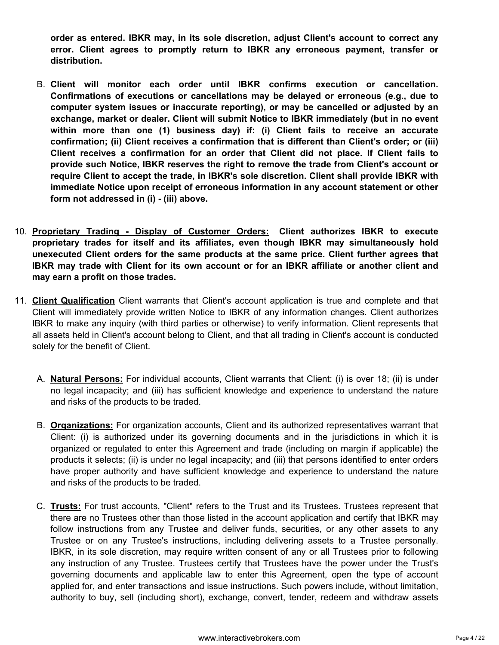**order as entered. IBKR may, in its sole discretion, adjust Client's account to correct any error. Client agrees to promptly return to IBKR any erroneous payment, transfer or distribution.**

- B. **Client will monitor each order until IBKR confirms execution or cancellation. Confirmations of executions or cancellations may be delayed or erroneous (e.g., due to computer system issues or inaccurate reporting), or may be cancelled or adjusted by an exchange, market or dealer. Client will submit Notice to IBKR immediately (but in no event within more than one (1) business day) if: (i) Client fails to receive an accurate confirmation; (ii) Client receives a confirmation that is different than Client's order; or (iii) Client receives a confirmation for an order that Client did not place. If Client fails to provide such Notice, IBKR reserves the right to remove the trade from Client's account or require Client to accept the trade, in IBKR's sole discretion. Client shall provide IBKR with immediate Notice upon receipt of erroneous information in any account statement or other form not addressed in (i) - (iii) above.**
- 10. **Proprietary Trading Display of Customer Orders: Client authorizes IBKR to execute proprietary trades for itself and its affiliates, even though IBKR may simultaneously hold unexecuted Client orders for the same products at the same price. Client further agrees that IBKR may trade with Client for its own account or for an IBKR affiliate or another client and may earn a profit on those trades.**
- 11. **Client Qualification** Client warrants that Client's account application is true and complete and that Client will immediately provide written Notice to IBKR of any information changes. Client authorizes IBKR to make any inquiry (with third parties or otherwise) to verify information. Client represents that all assets held in Client's account belong to Client, and that all trading in Client's account is conducted solely for the benefit of Client.
	- A. **Natural Persons:** For individual accounts, Client warrants that Client: (i) is over 18; (ii) is under no legal incapacity; and (iii) has sufficient knowledge and experience to understand the nature and risks of the products to be traded.
	- B. **Organizations:** For organization accounts, Client and its authorized representatives warrant that Client: (i) is authorized under its governing documents and in the jurisdictions in which it is organized or regulated to enter this Agreement and trade (including on margin if applicable) the products it selects; (ii) is under no legal incapacity; and (iii) that persons identified to enter orders have proper authority and have sufficient knowledge and experience to understand the nature and risks of the products to be traded.
	- C. **Trusts:** For trust accounts, "Client" refers to the Trust and its Trustees. Trustees represent that there are no Trustees other than those listed in the account application and certify that IBKR may follow instructions from any Trustee and deliver funds, securities, or any other assets to any Trustee or on any Trustee's instructions, including delivering assets to a Trustee personally. IBKR, in its sole discretion, may require written consent of any or all Trustees prior to following any instruction of any Trustee. Trustees certify that Trustees have the power under the Trust's governing documents and applicable law to enter this Agreement, open the type of account applied for, and enter transactions and issue instructions. Such powers include, without limitation, authority to buy, sell (including short), exchange, convert, tender, redeem and withdraw assets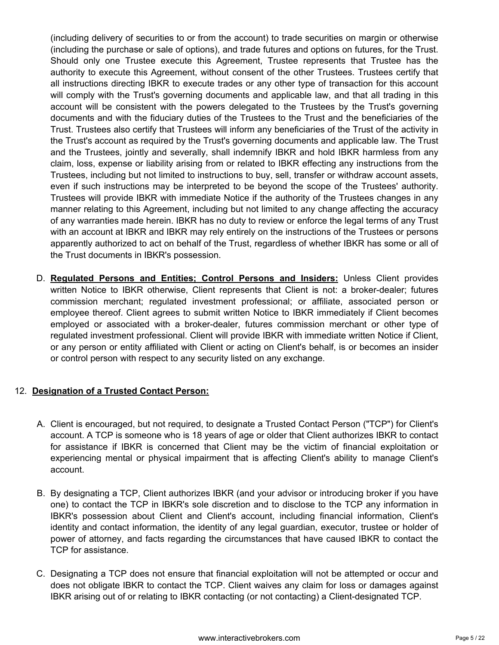(including delivery of securities to or from the account) to trade securities on margin or otherwise (including the purchase or sale of options), and trade futures and options on futures, for the Trust. Should only one Trustee execute this Agreement, Trustee represents that Trustee has the authority to execute this Agreement, without consent of the other Trustees. Trustees certify that all instructions directing IBKR to execute trades or any other type of transaction for this account will comply with the Trust's governing documents and applicable law, and that all trading in this account will be consistent with the powers delegated to the Trustees by the Trust's governing documents and with the fiduciary duties of the Trustees to the Trust and the beneficiaries of the Trust. Trustees also certify that Trustees will inform any beneficiaries of the Trust of the activity in the Trust's account as required by the Trust's governing documents and applicable law. The Trust and the Trustees, jointly and severally, shall indemnify IBKR and hold IBKR harmless from any claim, loss, expense or liability arising from or related to IBKR effecting any instructions from the Trustees, including but not limited to instructions to buy, sell, transfer or withdraw account assets, even if such instructions may be interpreted to be beyond the scope of the Trustees' authority. Trustees will provide IBKR with immediate Notice if the authority of the Trustees changes in any manner relating to this Agreement, including but not limited to any change affecting the accuracy of any warranties made herein. IBKR has no duty to review or enforce the legal terms of any Trust with an account at IBKR and IBKR may rely entirely on the instructions of the Trustees or persons apparently authorized to act on behalf of the Trust, regardless of whether IBKR has some or all of the Trust documents in IBKR's possession.

D. **Regulated Persons and Entities; Control Persons and Insiders:** Unless Client provides written Notice to IBKR otherwise, Client represents that Client is not: a broker-dealer; futures commission merchant; regulated investment professional; or affiliate, associated person or employee thereof. Client agrees to submit written Notice to IBKR immediately if Client becomes employed or associated with a broker-dealer, futures commission merchant or other type of regulated investment professional. Client will provide IBKR with immediate written Notice if Client, or any person or entity affiliated with Client or acting on Client's behalf, is or becomes an insider or control person with respect to any security listed on any exchange.

## 12. **Designation of a Trusted Contact Person:**

- A. Client is encouraged, but not required, to designate a Trusted Contact Person ("TCP") for Client's account. A TCP is someone who is 18 years of age or older that Client authorizes IBKR to contact for assistance if IBKR is concerned that Client may be the victim of financial exploitation or experiencing mental or physical impairment that is affecting Client's ability to manage Client's account.
- B. By designating a TCP, Client authorizes IBKR (and your advisor or introducing broker if you have one) to contact the TCP in IBKR's sole discretion and to disclose to the TCP any information in IBKR's possession about Client and Client's account, including financial information, Client's identity and contact information, the identity of any legal guardian, executor, trustee or holder of power of attorney, and facts regarding the circumstances that have caused IBKR to contact the TCP for assistance.
- C. Designating a TCP does not ensure that financial exploitation will not be attempted or occur and does not obligate IBKR to contact the TCP. Client waives any claim for loss or damages against IBKR arising out of or relating to IBKR contacting (or not contacting) a Client-designated TCP.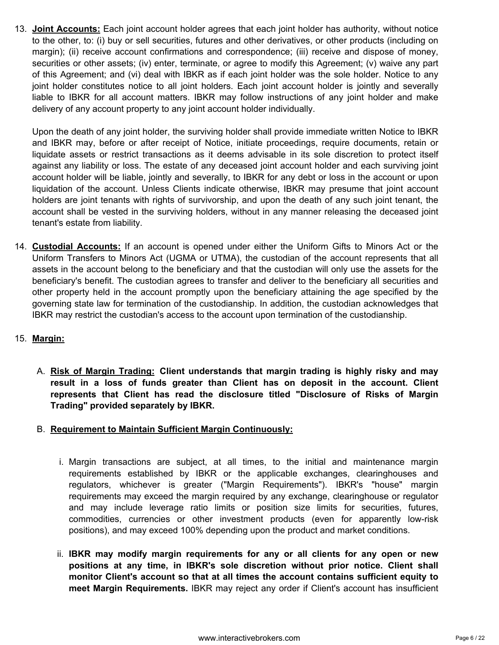13. **Joint Accounts:** Each joint account holder agrees that each joint holder has authority, without notice to the other, to: (i) buy or sell securities, futures and other derivatives, or other products (including on margin); (ii) receive account confirmations and correspondence; (iii) receive and dispose of money, securities or other assets; (iv) enter, terminate, or agree to modify this Agreement; (v) waive any part of this Agreement; and (vi) deal with IBKR as if each joint holder was the sole holder. Notice to any joint holder constitutes notice to all joint holders. Each joint account holder is jointly and severally liable to IBKR for all account matters. IBKR may follow instructions of any joint holder and make delivery of any account property to any joint account holder individually.

Upon the death of any joint holder, the surviving holder shall provide immediate written Notice to IBKR and IBKR may, before or after receipt of Notice, initiate proceedings, require documents, retain or liquidate assets or restrict transactions as it deems advisable in its sole discretion to protect itself against any liability or loss. The estate of any deceased joint account holder and each surviving joint account holder will be liable, jointly and severally, to IBKR for any debt or loss in the account or upon liquidation of the account. Unless Clients indicate otherwise, IBKR may presume that joint account holders are joint tenants with rights of survivorship, and upon the death of any such joint tenant, the account shall be vested in the surviving holders, without in any manner releasing the deceased joint tenant's estate from liability.

14. **Custodial Accounts:** If an account is opened under either the Uniform Gifts to Minors Act or the Uniform Transfers to Minors Act (UGMA or UTMA), the custodian of the account represents that all assets in the account belong to the beneficiary and that the custodian will only use the assets for the beneficiary's benefit. The custodian agrees to transfer and deliver to the beneficiary all securities and other property held in the account promptly upon the beneficiary attaining the age specified by the governing state law for termination of the custodianship. In addition, the custodian acknowledges that IBKR may restrict the custodian's access to the account upon termination of the custodianship.

# 15. **Margin:**

A. **Risk of Margin Trading: Client understands that margin trading is highly risky and may result in a loss of funds greater than Client has on deposit in the account. Client represents that Client has read the disclosure titled "Disclosure of Risks of Margin Trading" provided separately by IBKR.**

## B. **Requirement to Maintain Sufficient Margin Continuously:**

- i. Margin transactions are subject, at all times, to the initial and maintenance margin requirements established by IBKR or the applicable exchanges, clearinghouses and regulators, whichever is greater ("Margin Requirements"). IBKR's "house" margin requirements may exceed the margin required by any exchange, clearinghouse or regulator and may include leverage ratio limits or position size limits for securities, futures, commodities, currencies or other investment products (even for apparently low-risk positions), and may exceed 100% depending upon the product and market conditions.
- ii. **IBKR may modify margin requirements for any or all clients for any open or new positions at any time, in IBKR's sole discretion without prior notice. Client shall monitor Client's account so that at all times the account contains sufficient equity to meet Margin Requirements.** IBKR may reject any order if Client's account has insufficient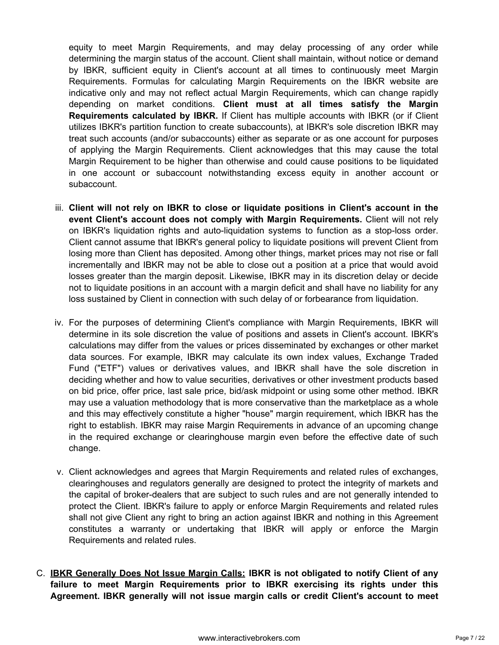equity to meet Margin Requirements, and may delay processing of any order while determining the margin status of the account. Client shall maintain, without notice or demand by IBKR, sufficient equity in Client's account at all times to continuously meet Margin Requirements. Formulas for calculating Margin Requirements on the IBKR website are indicative only and may not reflect actual Margin Requirements, which can change rapidly depending on market conditions. **Client must at all times satisfy the Margin Requirements calculated by IBKR.** If Client has multiple accounts with IBKR (or if Client utilizes IBKR's partition function to create subaccounts), at IBKR's sole discretion IBKR may treat such accounts (and/or subaccounts) either as separate or as one account for purposes of applying the Margin Requirements. Client acknowledges that this may cause the total Margin Requirement to be higher than otherwise and could cause positions to be liquidated in one account or subaccount notwithstanding excess equity in another account or subaccount.

- iii. **Client will not rely on IBKR to close or liquidate positions in Client's account in the event Client's account does not comply with Margin Requirements.** Client will not rely on IBKR's liquidation rights and auto-liquidation systems to function as a stop-loss order. Client cannot assume that IBKR's general policy to liquidate positions will prevent Client from losing more than Client has deposited. Among other things, market prices may not rise or fall incrementally and IBKR may not be able to close out a position at a price that would avoid losses greater than the margin deposit. Likewise, IBKR may in its discretion delay or decide not to liquidate positions in an account with a margin deficit and shall have no liability for any loss sustained by Client in connection with such delay of or forbearance from liquidation.
- iv. For the purposes of determining Client's compliance with Margin Requirements, IBKR will determine in its sole discretion the value of positions and assets in Client's account. IBKR's calculations may differ from the values or prices disseminated by exchanges or other market data sources. For example, IBKR may calculate its own index values, Exchange Traded Fund ("ETF") values or derivatives values, and IBKR shall have the sole discretion in deciding whether and how to value securities, derivatives or other investment products based on bid price, offer price, last sale price, bid/ask midpoint or using some other method. IBKR may use a valuation methodology that is more conservative than the marketplace as a whole and this may effectively constitute a higher "house" margin requirement, which IBKR has the right to establish. IBKR may raise Margin Requirements in advance of an upcoming change in the required exchange or clearinghouse margin even before the effective date of such change.
- v. Client acknowledges and agrees that Margin Requirements and related rules of exchanges, clearinghouses and regulators generally are designed to protect the integrity of markets and the capital of broker-dealers that are subject to such rules and are not generally intended to protect the Client. IBKR's failure to apply or enforce Margin Requirements and related rules shall not give Client any right to bring an action against IBKR and nothing in this Agreement constitutes a warranty or undertaking that IBKR will apply or enforce the Margin Requirements and related rules.
- C. **IBKR Generally Does Not Issue Margin Calls: IBKR is not obligated to notify Client of any failure to meet Margin Requirements prior to IBKR exercising its rights under this Agreement. IBKR generally will not issue margin calls or credit Client's account to meet**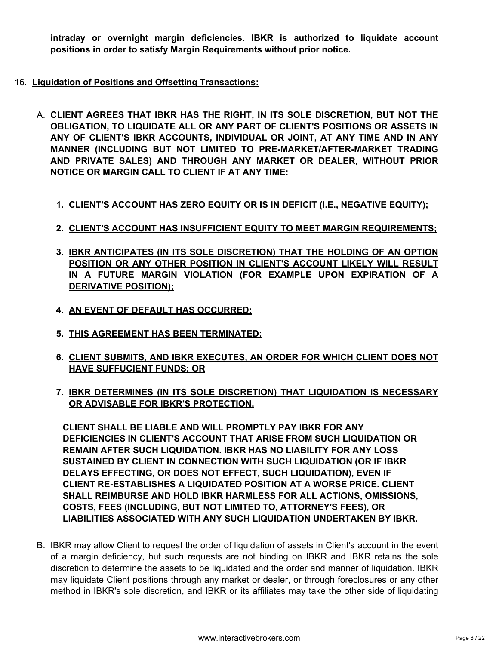**intraday or overnight margin deficiencies. IBKR is authorized to liquidate account positions in order to satisfy Margin Requirements without prior notice.**

- 16. **Liquidation of Positions and Offsetting Transactions:**
	- A. **CLIENT AGREES THAT IBKR HAS THE RIGHT, IN ITS SOLE DISCRETION, BUT NOT THE OBLIGATION, TO LIQUIDATE ALL OR ANY PART OF CLIENT'S POSITIONS OR ASSETS IN ANY OF CLIENT'S IBKR ACCOUNTS, INDIVIDUAL OR JOINT, AT ANY TIME AND IN ANY MANNER (INCLUDING BUT NOT LIMITED TO PRE-MARKET/AFTER-MARKET TRADING AND PRIVATE SALES) AND THROUGH ANY MARKET OR DEALER, WITHOUT PRIOR NOTICE OR MARGIN CALL TO CLIENT IF AT ANY TIME:**
		- **1. CLIENT'S ACCOUNT HAS ZERO EQUITY OR IS IN DEFICIT (I.E., NEGATIVE EQUITY);**
		- **2. CLIENT'S ACCOUNT HAS INSUFFICIENT EQUITY TO MEET MARGIN REQUIREMENTS;**
		- **3. IBKR ANTICIPATES (IN ITS SOLE DISCRETION) THAT THE HOLDING OF AN OPTION POSITION OR ANY OTHER POSITION IN CLIENT'S ACCOUNT LIKELY WILL RESULT IN A FUTURE MARGIN VIOLATION (FOR EXAMPLE UPON EXPIRATION OF A DERIVATIVE POSITION);**
		- **4. AN EVENT OF DEFAULT HAS OCCURRED;**
		- **5. THIS AGREEMENT HAS BEEN TERMINATED;**
		- **6. CLIENT SUBMITS, AND IBKR EXECUTES, AN ORDER FOR WHICH CLIENT DOES NOT HAVE SUFFUCIENT FUNDS; OR**
		- **7. IBKR DETERMINES (IN ITS SOLE DISCRETION) THAT LIQUIDATION IS NECESSARY OR ADVISABLE FOR IBKR'S PROTECTION.**

**CLIENT SHALL BE LIABLE AND WILL PROMPTLY PAY IBKR FOR ANY DEFICIENCIES IN CLIENT'S ACCOUNT THAT ARISE FROM SUCH LIQUIDATION OR REMAIN AFTER SUCH LIQUIDATION. IBKR HAS NO LIABILITY FOR ANY LOSS SUSTAINED BY CLIENT IN CONNECTION WITH SUCH LIQUIDATION (OR IF IBKR DELAYS EFFECTING, OR DOES NOT EFFECT, SUCH LIQUIDATION), EVEN IF CLIENT RE-ESTABLISHES A LIQUIDATED POSITION AT A WORSE PRICE. CLIENT SHALL REIMBURSE AND HOLD IBKR HARMLESS FOR ALL ACTIONS, OMISSIONS, COSTS, FEES (INCLUDING, BUT NOT LIMITED TO, ATTORNEY'S FEES), OR LIABILITIES ASSOCIATED WITH ANY SUCH LIQUIDATION UNDERTAKEN BY IBKR.**

B. IBKR may allow Client to request the order of liquidation of assets in Client's account in the event of a margin deficiency, but such requests are not binding on IBKR and IBKR retains the sole discretion to determine the assets to be liquidated and the order and manner of liquidation. IBKR may liquidate Client positions through any market or dealer, or through foreclosures or any other method in IBKR's sole discretion, and IBKR or its affiliates may take the other side of liquidating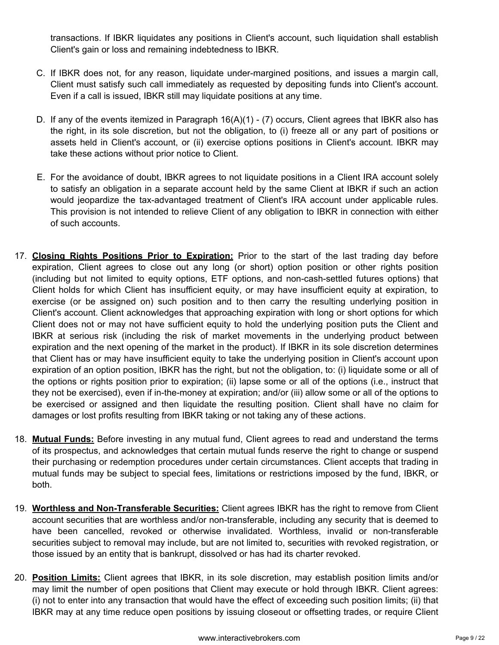transactions. If IBKR liquidates any positions in Client's account, such liquidation shall establish Client's gain or loss and remaining indebtedness to IBKR.

- C. If IBKR does not, for any reason, liquidate under-margined positions, and issues a margin call, Client must satisfy such call immediately as requested by depositing funds into Client's account. Even if a call is issued, IBKR still may liquidate positions at any time.
- D. If any of the events itemized in Paragraph 16(A)(1) (7) occurs, Client agrees that IBKR also has the right, in its sole discretion, but not the obligation, to (i) freeze all or any part of positions or assets held in Client's account, or (ii) exercise options positions in Client's account. IBKR may take these actions without prior notice to Client.
- E. For the avoidance of doubt, IBKR agrees to not liquidate positions in a Client IRA account solely to satisfy an obligation in a separate account held by the same Client at IBKR if such an action would jeopardize the tax-advantaged treatment of Client's IRA account under applicable rules. This provision is not intended to relieve Client of any obligation to IBKR in connection with either of such accounts.
- 17. **Closing Rights Positions Prior to Expiration:** Prior to the start of the last trading day before expiration, Client agrees to close out any long (or short) option position or other rights position (including but not limited to equity options, ETF options, and non-cash-settled futures options) that Client holds for which Client has insufficient equity, or may have insufficient equity at expiration, to exercise (or be assigned on) such position and to then carry the resulting underlying position in Client's account. Client acknowledges that approaching expiration with long or short options for which Client does not or may not have sufficient equity to hold the underlying position puts the Client and IBKR at serious risk (including the risk of market movements in the underlying product between expiration and the next opening of the market in the product). If IBKR in its sole discretion determines that Client has or may have insufficient equity to take the underlying position in Client's account upon expiration of an option position, IBKR has the right, but not the obligation, to: (i) liquidate some or all of the options or rights position prior to expiration; (ii) lapse some or all of the options (i.e., instruct that they not be exercised), even if in-the-money at expiration; and/or (iii) allow some or all of the options to be exercised or assigned and then liquidate the resulting position. Client shall have no claim for damages or lost profits resulting from IBKR taking or not taking any of these actions.
- 18. **Mutual Funds:** Before investing in any mutual fund, Client agrees to read and understand the terms of its prospectus, and acknowledges that certain mutual funds reserve the right to change or suspend their purchasing or redemption procedures under certain circumstances. Client accepts that trading in mutual funds may be subject to special fees, limitations or restrictions imposed by the fund, IBKR, or both.
- 19. **Worthless and Non-Transferable Securities:** Client agrees IBKR has the right to remove from Client account securities that are worthless and/or non-transferable, including any security that is deemed to have been cancelled, revoked or otherwise invalidated. Worthless, invalid or non-transferable securities subject to removal may include, but are not limited to, securities with revoked registration, or those issued by an entity that is bankrupt, dissolved or has had its charter revoked.
- 20. **Position Limits:** Client agrees that IBKR, in its sole discretion, may establish position limits and/or may limit the number of open positions that Client may execute or hold through IBKR. Client agrees: (i) not to enter into any transaction that would have the effect of exceeding such position limits; (ii) that IBKR may at any time reduce open positions by issuing closeout or offsetting trades, or require Client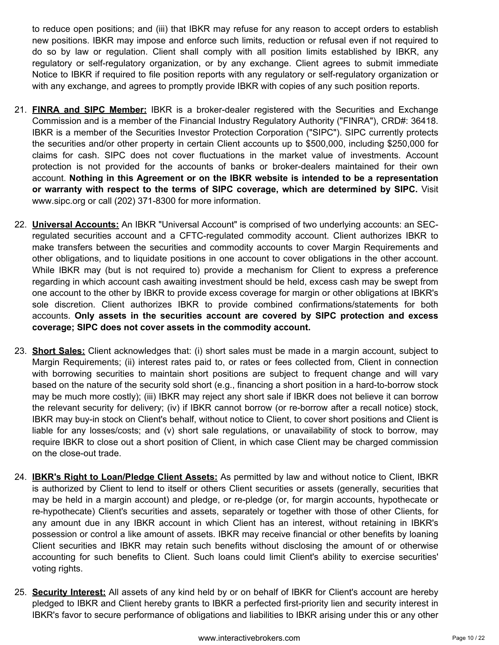to reduce open positions; and (iii) that IBKR may refuse for any reason to accept orders to establish new positions. IBKR may impose and enforce such limits, reduction or refusal even if not required to do so by law or regulation. Client shall comply with all position limits established by IBKR, any regulatory or self-regulatory organization, or by any exchange. Client agrees to submit immediate Notice to IBKR if required to file position reports with any regulatory or self-regulatory organization or with any exchange, and agrees to promptly provide IBKR with copies of any such position reports.

- 21. **FINRA and SIPC Member:** IBKR is a broker-dealer registered with the Securities and Exchange Commission and is a member of the Financial Industry Regulatory Authority ("FINRA"), CRD#: 36418. IBKR is a member of the Securities Investor Protection Corporation ("SIPC"). SIPC currently protects the securities and/or other property in certain Client accounts up to \$500,000, including \$250,000 for claims for cash. SIPC does not cover fluctuations in the market value of investments. Account protection is not provided for the accounts of banks or broker-dealers maintained for their own account. **Nothing in this Agreement or on the IBKR website is intended to be a representation or warranty with respect to the terms of SIPC coverage, which are determined by SIPC.** Visit www.sipc.org or call (202) 371-8300 for more information.
- 22. **Universal Accounts:** An IBKR "Universal Account" is comprised of two underlying accounts: an SECregulated securities account and a CFTC-regulated commodity account. Client authorizes IBKR to make transfers between the securities and commodity accounts to cover Margin Requirements and other obligations, and to liquidate positions in one account to cover obligations in the other account. While IBKR may (but is not required to) provide a mechanism for Client to express a preference regarding in which account cash awaiting investment should be held, excess cash may be swept from one account to the other by IBKR to provide excess coverage for margin or other obligations at IBKR's sole discretion. Client authorizes IBKR to provide combined confirmations/statements for both accounts. **Only assets in the securities account are covered by SIPC protection and excess coverage; SIPC does not cover assets in the commodity account.**
- 23. **Short Sales:** Client acknowledges that: (i) short sales must be made in a margin account, subject to Margin Requirements; (ii) interest rates paid to, or rates or fees collected from, Client in connection with borrowing securities to maintain short positions are subject to frequent change and will vary based on the nature of the security sold short (e.g., financing a short position in a hard-to-borrow stock may be much more costly); (iii) IBKR may reject any short sale if IBKR does not believe it can borrow the relevant security for delivery; (iv) if IBKR cannot borrow (or re-borrow after a recall notice) stock, IBKR may buy-in stock on Client's behalf, without notice to Client, to cover short positions and Client is liable for any losses/costs; and (v) short sale regulations, or unavailability of stock to borrow, may require IBKR to close out a short position of Client, in which case Client may be charged commission on the close-out trade.
- 24. **IBKR's Right to Loan/Pledge Client Assets:** As permitted by law and without notice to Client, IBKR is authorized by Client to lend to itself or others Client securities or assets (generally, securities that may be held in a margin account) and pledge, or re-pledge (or, for margin accounts, hypothecate or re-hypothecate) Client's securities and assets, separately or together with those of other Clients, for any amount due in any IBKR account in which Client has an interest, without retaining in IBKR's possession or control a like amount of assets. IBKR may receive financial or other benefits by loaning Client securities and IBKR may retain such benefits without disclosing the amount of or otherwise accounting for such benefits to Client. Such loans could limit Client's ability to exercise securities' voting rights.
- 25. **Security Interest:** All assets of any kind held by or on behalf of IBKR for Client's account are hereby pledged to IBKR and Client hereby grants to IBKR a perfected first-priority lien and security interest in IBKR's favor to secure performance of obligations and liabilities to IBKR arising under this or any other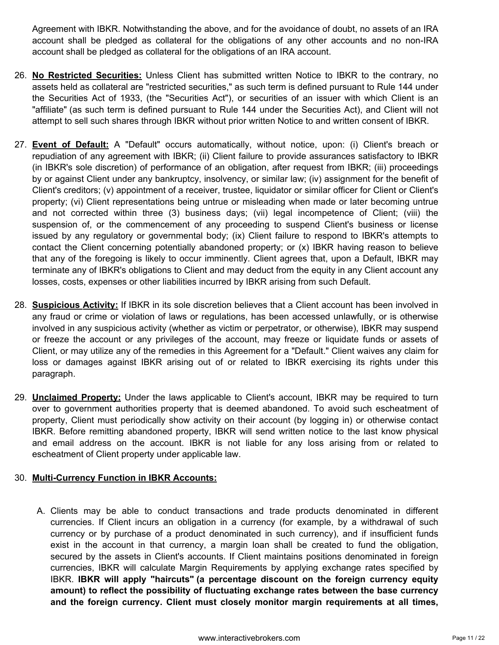Agreement with IBKR. Notwithstanding the above, and for the avoidance of doubt, no assets of an IRA account shall be pledged as collateral for the obligations of any other accounts and no non-IRA account shall be pledged as collateral for the obligations of an IRA account.

- 26. **No Restricted Securities:** Unless Client has submitted written Notice to IBKR to the contrary, no assets held as collateral are "restricted securities," as such term is defined pursuant to Rule 144 under the Securities Act of 1933, (the "Securities Act"), or securities of an issuer with which Client is an "affiliate" (as such term is defined pursuant to Rule 144 under the Securities Act), and Client will not attempt to sell such shares through IBKR without prior written Notice to and written consent of IBKR.
- 27. **Event of Default:** A "Default" occurs automatically, without notice, upon: (i) Client's breach or repudiation of any agreement with IBKR; (ii) Client failure to provide assurances satisfactory to IBKR (in IBKR's sole discretion) of performance of an obligation, after request from IBKR; (iii) proceedings by or against Client under any bankruptcy, insolvency, or similar law; (iv) assignment for the benefit of Client's creditors; (v) appointment of a receiver, trustee, liquidator or similar officer for Client or Client's property; (vi) Client representations being untrue or misleading when made or later becoming untrue and not corrected within three (3) business days; (vii) legal incompetence of Client; (viii) the suspension of, or the commencement of any proceeding to suspend Client's business or license issued by any regulatory or governmental body; (ix) Client failure to respond to IBKR's attempts to contact the Client concerning potentially abandoned property; or (x) IBKR having reason to believe that any of the foregoing is likely to occur imminently. Client agrees that, upon a Default, IBKR may terminate any of IBKR's obligations to Client and may deduct from the equity in any Client account any losses, costs, expenses or other liabilities incurred by IBKR arising from such Default.
- 28. **Suspicious Activity:** If IBKR in its sole discretion believes that a Client account has been involved in any fraud or crime or violation of laws or regulations, has been accessed unlawfully, or is otherwise involved in any suspicious activity (whether as victim or perpetrator, or otherwise), IBKR may suspend or freeze the account or any privileges of the account, may freeze or liquidate funds or assets of Client, or may utilize any of the remedies in this Agreement for a "Default." Client waives any claim for loss or damages against IBKR arising out of or related to IBKR exercising its rights under this paragraph.
- 29. **Unclaimed Property:** Under the laws applicable to Client's account, IBKR may be required to turn over to government authorities property that is deemed abandoned. To avoid such escheatment of property, Client must periodically show activity on their account (by logging in) or otherwise contact IBKR. Before remitting abandoned property, IBKR will send written notice to the last know physical and email address on the account. IBKR is not liable for any loss arising from or related to escheatment of Client property under applicable law.

## 30. **Multi-Currency Function in IBKR Accounts:**

A. Clients may be able to conduct transactions and trade products denominated in different currencies. If Client incurs an obligation in a currency (for example, by a withdrawal of such currency or by purchase of a product denominated in such currency), and if insufficient funds exist in the account in that currency, a margin loan shall be created to fund the obligation, secured by the assets in Client's accounts. If Client maintains positions denominated in foreign currencies, IBKR will calculate Margin Requirements by applying exchange rates specified by IBKR. **IBKR will apply "haircuts" (a percentage discount on the foreign currency equity amount) to reflect the possibility of fluctuating exchange rates between the base currency and the foreign currency. Client must closely monitor margin requirements at all times,**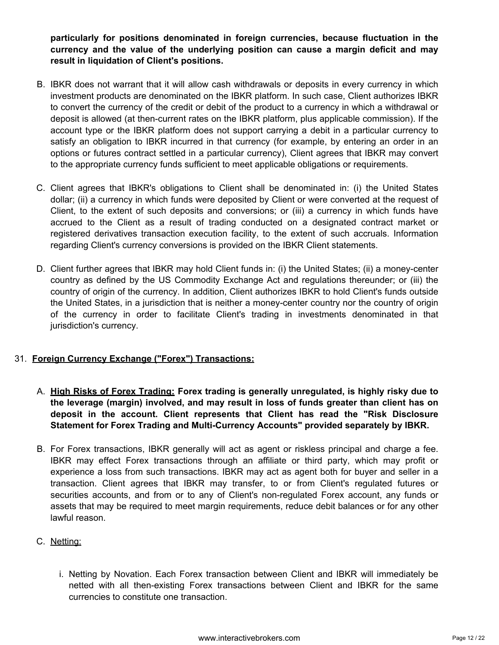**particularly for positions denominated in foreign currencies, because fluctuation in the currency and the value of the underlying position can cause a margin deficit and may result in liquidation of Client's positions.**

- B. IBKR does not warrant that it will allow cash withdrawals or deposits in every currency in which investment products are denominated on the IBKR platform. In such case, Client authorizes IBKR to convert the currency of the credit or debit of the product to a currency in which a withdrawal or deposit is allowed (at then-current rates on the IBKR platform, plus applicable commission). If the account type or the IBKR platform does not support carrying a debit in a particular currency to satisfy an obligation to IBKR incurred in that currency (for example, by entering an order in an options or futures contract settled in a particular currency), Client agrees that IBKR may convert to the appropriate currency funds sufficient to meet applicable obligations or requirements.
- C. Client agrees that IBKR's obligations to Client shall be denominated in: (i) the United States dollar; (ii) a currency in which funds were deposited by Client or were converted at the request of Client, to the extent of such deposits and conversions; or (iii) a currency in which funds have accrued to the Client as a result of trading conducted on a designated contract market or registered derivatives transaction execution facility, to the extent of such accruals. Information regarding Client's currency conversions is provided on the IBKR Client statements.
- D. Client further agrees that IBKR may hold Client funds in: (i) the United States; (ii) a money-center country as defined by the US Commodity Exchange Act and regulations thereunder; or (iii) the country of origin of the currency. In addition, Client authorizes IBKR to hold Client's funds outside the United States, in a jurisdiction that is neither a money-center country nor the country of origin of the currency in order to facilitate Client's trading in investments denominated in that jurisdiction's currency.

# 31. **Foreign Currency Exchange ("Forex") Transactions:**

- A. **High Risks of Forex Trading: Forex trading is generally unregulated, is highly risky due to the leverage (margin) involved, and may result in loss of funds greater than client has on deposit in the account. Client represents that Client has read the "Risk Disclosure Statement for Forex Trading and Multi-Currency Accounts" provided separately by IBKR.**
- B. For Forex transactions, IBKR generally will act as agent or riskless principal and charge a fee. IBKR may effect Forex transactions through an affiliate or third party, which may profit or experience a loss from such transactions. IBKR may act as agent both for buyer and seller in a transaction. Client agrees that IBKR may transfer, to or from Client's regulated futures or securities accounts, and from or to any of Client's non-regulated Forex account, any funds or assets that may be required to meet margin requirements, reduce debit balances or for any other lawful reason.
- C. Netting:
	- i. Netting by Novation. Each Forex transaction between Client and IBKR will immediately be netted with all then-existing Forex transactions between Client and IBKR for the same currencies to constitute one transaction.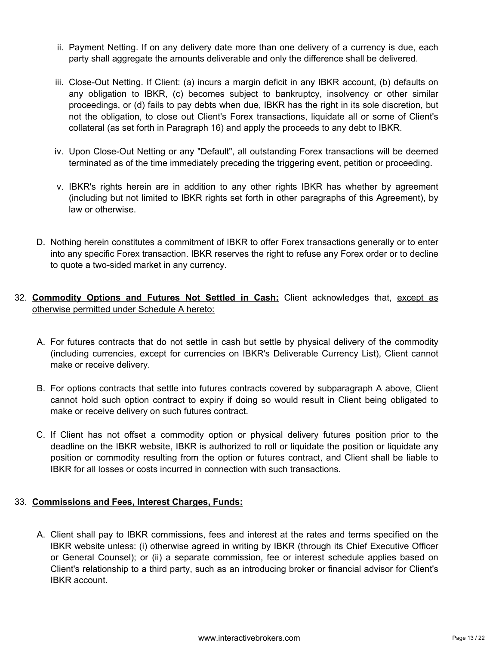- ii. Payment Netting. If on any delivery date more than one delivery of a currency is due, each party shall aggregate the amounts deliverable and only the difference shall be delivered.
- iii. Close-Out Netting. If Client: (a) incurs a margin deficit in any IBKR account, (b) defaults on any obligation to IBKR, (c) becomes subject to bankruptcy, insolvency or other similar proceedings, or (d) fails to pay debts when due, IBKR has the right in its sole discretion, but not the obligation, to close out Client's Forex transactions, liquidate all or some of Client's collateral (as set forth in Paragraph 16) and apply the proceeds to any debt to IBKR.
- iv. Upon Close-Out Netting or any "Default", all outstanding Forex transactions will be deemed terminated as of the time immediately preceding the triggering event, petition or proceeding.
- v. IBKR's rights herein are in addition to any other rights IBKR has whether by agreement (including but not limited to IBKR rights set forth in other paragraphs of this Agreement), by law or otherwise.
- D. Nothing herein constitutes a commitment of IBKR to offer Forex transactions generally or to enter into any specific Forex transaction. IBKR reserves the right to refuse any Forex order or to decline to quote a two-sided market in any currency.
- 32. **Commodity Options and Futures Not Settled in Cash:** Client acknowledges that, except as otherwise permitted under Schedule A hereto:
	- A. For futures contracts that do not settle in cash but settle by physical delivery of the commodity (including currencies, except for currencies on IBKR's Deliverable Currency List), Client cannot make or receive delivery.
	- B. For options contracts that settle into futures contracts covered by subparagraph A above, Client cannot hold such option contract to expiry if doing so would result in Client being obligated to make or receive delivery on such futures contract.
	- C. If Client has not offset a commodity option or physical delivery futures position prior to the deadline on the IBKR website, IBKR is authorized to roll or liquidate the position or liquidate any position or commodity resulting from the option or futures contract, and Client shall be liable to IBKR for all losses or costs incurred in connection with such transactions.

# 33. **Commissions and Fees, Interest Charges, Funds:**

A. Client shall pay to IBKR commissions, fees and interest at the rates and terms specified on the IBKR website unless: (i) otherwise agreed in writing by IBKR (through its Chief Executive Officer or General Counsel); or (ii) a separate commission, fee or interest schedule applies based on Client's relationship to a third party, such as an introducing broker or financial advisor for Client's IBKR account.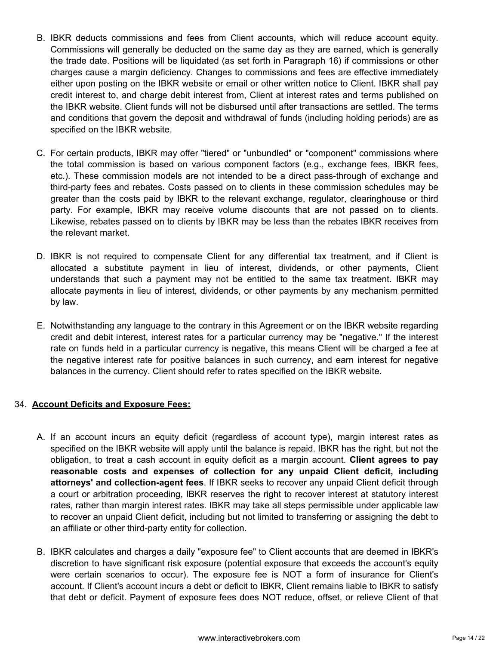- B. IBKR deducts commissions and fees from Client accounts, which will reduce account equity. Commissions will generally be deducted on the same day as they are earned, which is generally the trade date. Positions will be liquidated (as set forth in Paragraph 16) if commissions or other charges cause a margin deficiency. Changes to commissions and fees are effective immediately either upon posting on the IBKR website or email or other written notice to Client. IBKR shall pay credit interest to, and charge debit interest from, Client at interest rates and terms published on the IBKR website. Client funds will not be disbursed until after transactions are settled. The terms and conditions that govern the deposit and withdrawal of funds (including holding periods) are as specified on the IBKR website.
- C. For certain products, IBKR may offer "tiered" or "unbundled" or "component" commissions where the total commission is based on various component factors (e.g., exchange fees, IBKR fees, etc.). These commission models are not intended to be a direct pass-through of exchange and third-party fees and rebates. Costs passed on to clients in these commission schedules may be greater than the costs paid by IBKR to the relevant exchange, regulator, clearinghouse or third party. For example, IBKR may receive volume discounts that are not passed on to clients. Likewise, rebates passed on to clients by IBKR may be less than the rebates IBKR receives from the relevant market.
- D. IBKR is not required to compensate Client for any differential tax treatment, and if Client is allocated a substitute payment in lieu of interest, dividends, or other payments, Client understands that such a payment may not be entitled to the same tax treatment. IBKR may allocate payments in lieu of interest, dividends, or other payments by any mechanism permitted by law.
- E. Notwithstanding any language to the contrary in this Agreement or on the IBKR website regarding credit and debit interest, interest rates for a particular currency may be "negative." If the interest rate on funds held in a particular currency is negative, this means Client will be charged a fee at the negative interest rate for positive balances in such currency, and earn interest for negative balances in the currency. Client should refer to rates specified on the IBKR website.

## 34. **Account Deficits and Exposure Fees:**

- A. If an account incurs an equity deficit (regardless of account type), margin interest rates as specified on the IBKR website will apply until the balance is repaid. IBKR has the right, but not the obligation, to treat a cash account in equity deficit as a margin account. **Client agrees to pay reasonable costs and expenses of collection for any unpaid Client deficit, including attorneys' and collection-agent fees**. If IBKR seeks to recover any unpaid Client deficit through a court or arbitration proceeding, IBKR reserves the right to recover interest at statutory interest rates, rather than margin interest rates. IBKR may take all steps permissible under applicable law to recover an unpaid Client deficit, including but not limited to transferring or assigning the debt to an affiliate or other third-party entity for collection.
- B. IBKR calculates and charges a daily "exposure fee" to Client accounts that are deemed in IBKR's discretion to have significant risk exposure (potential exposure that exceeds the account's equity were certain scenarios to occur). The exposure fee is NOT a form of insurance for Client's account. If Client's account incurs a debt or deficit to IBKR, Client remains liable to IBKR to satisfy that debt or deficit. Payment of exposure fees does NOT reduce, offset, or relieve Client of that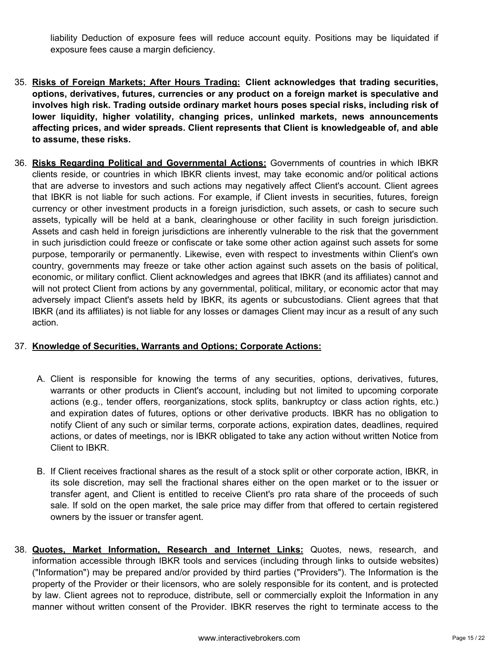liability Deduction of exposure fees will reduce account equity. Positions may be liquidated if exposure fees cause a margin deficiency.

- 35. **Risks of Foreign Markets; After Hours Trading: Client acknowledges that trading securities, options, derivatives, futures, currencies or any product on a foreign market is speculative and involves high risk. Trading outside ordinary market hours poses special risks, including risk of lower liquidity, higher volatility, changing prices, unlinked markets, news announcements affecting prices, and wider spreads. Client represents that Client is knowledgeable of, and able to assume, these risks.**
- 36. **Risks Regarding Political and Governmental Actions:** Governments of countries in which IBKR clients reside, or countries in which IBKR clients invest, may take economic and/or political actions that are adverse to investors and such actions may negatively affect Client's account. Client agrees that IBKR is not liable for such actions. For example, if Client invests in securities, futures, foreign currency or other investment products in a foreign jurisdiction, such assets, or cash to secure such assets, typically will be held at a bank, clearinghouse or other facility in such foreign jurisdiction. Assets and cash held in foreign jurisdictions are inherently vulnerable to the risk that the government in such jurisdiction could freeze or confiscate or take some other action against such assets for some purpose, temporarily or permanently. Likewise, even with respect to investments within Client's own country, governments may freeze or take other action against such assets on the basis of political, economic, or military conflict. Client acknowledges and agrees that IBKR (and its affiliates) cannot and will not protect Client from actions by any governmental, political, military, or economic actor that may adversely impact Client's assets held by IBKR, its agents or subcustodians. Client agrees that that IBKR (and its affiliates) is not liable for any losses or damages Client may incur as a result of any such action.

## 37. **Knowledge of Securities, Warrants and Options; Corporate Actions:**

- A. Client is responsible for knowing the terms of any securities, options, derivatives, futures, warrants or other products in Client's account, including but not limited to upcoming corporate actions (e.g., tender offers, reorganizations, stock splits, bankruptcy or class action rights, etc.) and expiration dates of futures, options or other derivative products. IBKR has no obligation to notify Client of any such or similar terms, corporate actions, expiration dates, deadlines, required actions, or dates of meetings, nor is IBKR obligated to take any action without written Notice from Client to IBKR.
- B. If Client receives fractional shares as the result of a stock split or other corporate action, IBKR, in its sole discretion, may sell the fractional shares either on the open market or to the issuer or transfer agent, and Client is entitled to receive Client's pro rata share of the proceeds of such sale. If sold on the open market, the sale price may differ from that offered to certain registered owners by the issuer or transfer agent.
- 38. **Quotes, Market Information, Research and Internet Links:** Quotes, news, research, and information accessible through IBKR tools and services (including through links to outside websites) ("Information") may be prepared and/or provided by third parties ("Providers"). The Information is the property of the Provider or their licensors, who are solely responsible for its content, and is protected by law. Client agrees not to reproduce, distribute, sell or commercially exploit the Information in any manner without written consent of the Provider. IBKR reserves the right to terminate access to the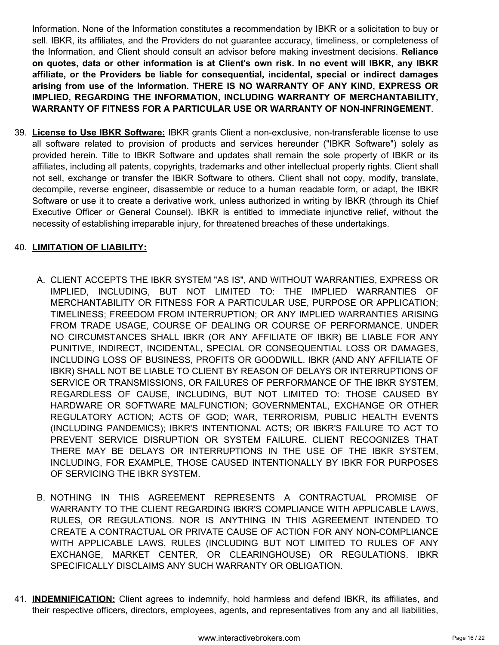Information. None of the Information constitutes a recommendation by IBKR or a solicitation to buy or sell. IBKR, its affiliates, and the Providers do not guarantee accuracy, timeliness, or completeness of the Information, and Client should consult an advisor before making investment decisions. **Reliance on quotes, data or other information is at Client's own risk. In no event will IBKR, any IBKR affiliate, or the Providers be liable for consequential, incidental, special or indirect damages arising from use of the Information. THERE IS NO WARRANTY OF ANY KIND, EXPRESS OR IMPLIED, REGARDING THE INFORMATION, INCLUDING WARRANTY OF MERCHANTABILITY, WARRANTY OF FITNESS FOR A PARTICULAR USE OR WARRANTY OF NON-INFRINGEMENT**.

39. **License to Use IBKR Software:** IBKR grants Client a non-exclusive, non-transferable license to use all software related to provision of products and services hereunder ("IBKR Software") solely as provided herein. Title to IBKR Software and updates shall remain the sole property of IBKR or its affiliates, including all patents, copyrights, trademarks and other intellectual property rights. Client shall not sell, exchange or transfer the IBKR Software to others. Client shall not copy, modify, translate, decompile, reverse engineer, disassemble or reduce to a human readable form, or adapt, the IBKR Software or use it to create a derivative work, unless authorized in writing by IBKR (through its Chief Executive Officer or General Counsel). IBKR is entitled to immediate injunctive relief, without the necessity of establishing irreparable injury, for threatened breaches of these undertakings.

## 40. **LIMITATION OF LIABILITY:**

- A. CLIENT ACCEPTS THE IBKR SYSTEM "AS IS", AND WITHOUT WARRANTIES, EXPRESS OR IMPLIED, INCLUDING, BUT NOT LIMITED TO: THE IMPLIED WARRANTIES OF MERCHANTABILITY OR FITNESS FOR A PARTICULAR USE, PURPOSE OR APPLICATION; TIMELINESS; FREEDOM FROM INTERRUPTION; OR ANY IMPLIED WARRANTIES ARISING FROM TRADE USAGE, COURSE OF DEALING OR COURSE OF PERFORMANCE. UNDER NO CIRCUMSTANCES SHALL IBKR (OR ANY AFFILIATE OF IBKR) BE LIABLE FOR ANY PUNITIVE, INDIRECT, INCIDENTAL, SPECIAL OR CONSEQUENTIAL LOSS OR DAMAGES, INCLUDING LOSS OF BUSINESS, PROFITS OR GOODWILL. IBKR (AND ANY AFFILIATE OF IBKR) SHALL NOT BE LIABLE TO CLIENT BY REASON OF DELAYS OR INTERRUPTIONS OF SERVICE OR TRANSMISSIONS, OR FAILURES OF PERFORMANCE OF THE IBKR SYSTEM, REGARDLESS OF CAUSE, INCLUDING, BUT NOT LIMITED TO: THOSE CAUSED BY HARDWARE OR SOFTWARE MALFUNCTION; GOVERNMENTAL, EXCHANGE OR OTHER REGULATORY ACTION; ACTS OF GOD; WAR, TERRORISM, PUBLIC HEALTH EVENTS (INCLUDING PANDEMICS); IBKR'S INTENTIONAL ACTS; OR IBKR'S FAILURE TO ACT TO PREVENT SERVICE DISRUPTION OR SYSTEM FAILURE. CLIENT RECOGNIZES THAT THERE MAY BE DELAYS OR INTERRUPTIONS IN THE USE OF THE IBKR SYSTEM, INCLUDING, FOR EXAMPLE, THOSE CAUSED INTENTIONALLY BY IBKR FOR PURPOSES OF SERVICING THE IBKR SYSTEM.
- B. NOTHING IN THIS AGREEMENT REPRESENTS A CONTRACTUAL PROMISE OF WARRANTY TO THE CLIENT REGARDING IBKR'S COMPLIANCE WITH APPLICABLE LAWS, RULES, OR REGULATIONS. NOR IS ANYTHING IN THIS AGREEMENT INTENDED TO CREATE A CONTRACTUAL OR PRIVATE CAUSE OF ACTION FOR ANY NON-COMPLIANCE WITH APPLICABLE LAWS, RULES (INCLUDING BUT NOT LIMITED TO RULES OF ANY EXCHANGE, MARKET CENTER, OR CLEARINGHOUSE) OR REGULATIONS. IBKR SPECIFICALLY DISCLAIMS ANY SUCH WARRANTY OR OBLIGATION.
- 41. **INDEMNIFICATION:** Client agrees to indemnify, hold harmless and defend IBKR, its affiliates, and their respective officers, directors, employees, agents, and representatives from any and all liabilities,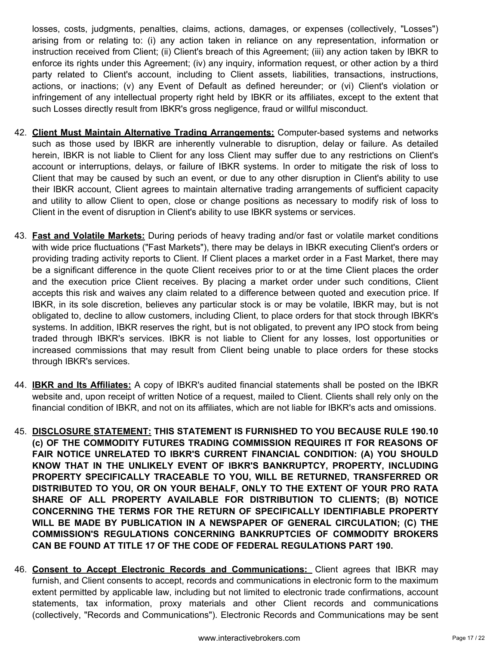losses, costs, judgments, penalties, claims, actions, damages, or expenses (collectively, "Losses") arising from or relating to: (i) any action taken in reliance on any representation, information or instruction received from Client; (ii) Client's breach of this Agreement; (iii) any action taken by IBKR to enforce its rights under this Agreement; (iv) any inquiry, information request, or other action by a third party related to Client's account, including to Client assets, liabilities, transactions, instructions, actions, or inactions; (v) any Event of Default as defined hereunder; or (vi) Client's violation or infringement of any intellectual property right held by IBKR or its affiliates, except to the extent that such Losses directly result from IBKR's gross negligence, fraud or willful misconduct.

- 42. **Client Must Maintain Alternative Trading Arrangements:** Computer-based systems and networks such as those used by IBKR are inherently vulnerable to disruption, delay or failure. As detailed herein, IBKR is not liable to Client for any loss Client may suffer due to any restrictions on Client's account or interruptions, delays, or failure of IBKR systems. In order to mitigate the risk of loss to Client that may be caused by such an event, or due to any other disruption in Client's ability to use their IBKR account, Client agrees to maintain alternative trading arrangements of sufficient capacity and utility to allow Client to open, close or change positions as necessary to modify risk of loss to Client in the event of disruption in Client's ability to use IBKR systems or services.
- 43. **Fast and Volatile Markets:** During periods of heavy trading and/or fast or volatile market conditions with wide price fluctuations ("Fast Markets"), there may be delays in IBKR executing Client's orders or providing trading activity reports to Client. If Client places a market order in a Fast Market, there may be a significant difference in the quote Client receives prior to or at the time Client places the order and the execution price Client receives. By placing a market order under such conditions, Client accepts this risk and waives any claim related to a difference between quoted and execution price. If IBKR, in its sole discretion, believes any particular stock is or may be volatile, IBKR may, but is not obligated to, decline to allow customers, including Client, to place orders for that stock through IBKR's systems. In addition, IBKR reserves the right, but is not obligated, to prevent any IPO stock from being traded through IBKR's services. IBKR is not liable to Client for any losses, lost opportunities or increased commissions that may result from Client being unable to place orders for these stocks through IBKR's services.
- 44. **IBKR and Its Affiliates:** A copy of IBKR's audited financial statements shall be posted on the IBKR website and, upon receipt of written Notice of a request, mailed to Client. Clients shall rely only on the financial condition of IBKR, and not on its affiliates, which are not liable for IBKR's acts and omissions.
- 45. **DISCLOSURE STATEMENT: THIS STATEMENT IS FURNISHED TO YOU BECAUSE RULE 190.10 (c) OF THE COMMODITY FUTURES TRADING COMMISSION REQUIRES IT FOR REASONS OF FAIR NOTICE UNRELATED TO IBKR'S CURRENT FINANCIAL CONDITION: (A) YOU SHOULD KNOW THAT IN THE UNLIKELY EVENT OF IBKR'S BANKRUPTCY, PROPERTY, INCLUDING PROPERTY SPECIFICALLY TRACEABLE TO YOU, WILL BE RETURNED, TRANSFERRED OR DISTRIBUTED TO YOU, OR ON YOUR BEHALF, ONLY TO THE EXTENT OF YOUR PRO RATA SHARE OF ALL PROPERTY AVAILABLE FOR DISTRIBUTION TO CLIENTS; (B) NOTICE CONCERNING THE TERMS FOR THE RETURN OF SPECIFICALLY IDENTIFIABLE PROPERTY WILL BE MADE BY PUBLICATION IN A NEWSPAPER OF GENERAL CIRCULATION; (C) THE COMMISSION'S REGULATIONS CONCERNING BANKRUPTCIES OF COMMODITY BROKERS CAN BE FOUND AT TITLE 17 OF THE CODE OF FEDERAL REGULATIONS PART 190.**
- 46. **Consent to Accept Electronic Records and Communications:** Client agrees that IBKR may furnish, and Client consents to accept, records and communications in electronic form to the maximum extent permitted by applicable law, including but not limited to electronic trade confirmations, account statements, tax information, proxy materials and other Client records and communications (collectively, "Records and Communications"). Electronic Records and Communications may be sent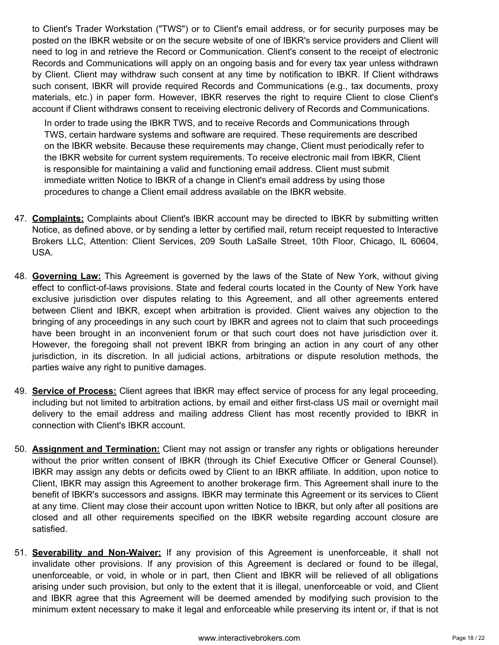to Client's Trader Workstation ("TWS") or to Client's email address, or for security purposes may be posted on the IBKR website or on the secure website of one of IBKR's service providers and Client will need to log in and retrieve the Record or Communication. Client's consent to the receipt of electronic Records and Communications will apply on an ongoing basis and for every tax year unless withdrawn by Client. Client may withdraw such consent at any time by notification to IBKR. If Client withdraws such consent, IBKR will provide required Records and Communications (e.g., tax documents, proxy materials, etc.) in paper form. However, IBKR reserves the right to require Client to close Client's account if Client withdraws consent to receiving electronic delivery of Records and Communications.

In order to trade using the IBKR TWS, and to receive Records and Communications through TWS, certain hardware systems and software are required. These requirements are described on the IBKR website. Because these requirements may change, Client must periodically refer to the IBKR website for current system requirements. To receive electronic mail from IBKR, Client is responsible for maintaining a valid and functioning email address. Client must submit immediate written Notice to IBKR of a change in Client's email address by using those procedures to change a Client email address available on the IBKR website.

- 47. **Complaints:** Complaints about Client's IBKR account may be directed to IBKR by submitting written Notice, as defined above, or by sending a letter by certified mail, return receipt requested to Interactive Brokers LLC, Attention: Client Services, 209 South LaSalle Street, 10th Floor, Chicago, IL 60604, USA.
- 48. **Governing Law:** This Agreement is governed by the laws of the State of New York, without giving effect to conflict-of-laws provisions. State and federal courts located in the County of New York have exclusive jurisdiction over disputes relating to this Agreement, and all other agreements entered between Client and IBKR, except when arbitration is provided. Client waives any objection to the bringing of any proceedings in any such court by IBKR and agrees not to claim that such proceedings have been brought in an inconvenient forum or that such court does not have jurisdiction over it. However, the foregoing shall not prevent IBKR from bringing an action in any court of any other jurisdiction, in its discretion. In all judicial actions, arbitrations or dispute resolution methods, the parties waive any right to punitive damages.
- 49. **Service of Process:** Client agrees that IBKR may effect service of process for any legal proceeding, including but not limited to arbitration actions, by email and either first-class US mail or overnight mail delivery to the email address and mailing address Client has most recently provided to IBKR in connection with Client's IBKR account.
- 50. **Assignment and Termination:** Client may not assign or transfer any rights or obligations hereunder without the prior written consent of IBKR (through its Chief Executive Officer or General Counsel). IBKR may assign any debts or deficits owed by Client to an IBKR affiliate. In addition, upon notice to Client, IBKR may assign this Agreement to another brokerage firm. This Agreement shall inure to the benefit of IBKR's successors and assigns. IBKR may terminate this Agreement or its services to Client at any time. Client may close their account upon written Notice to IBKR, but only after all positions are closed and all other requirements specified on the IBKR website regarding account closure are satisfied.
- 51. **Severability and Non-Waiver:** If any provision of this Agreement is unenforceable, it shall not invalidate other provisions. If any provision of this Agreement is declared or found to be illegal, unenforceable, or void, in whole or in part, then Client and IBKR will be relieved of all obligations arising under such provision, but only to the extent that it is illegal, unenforceable or void, and Client and IBKR agree that this Agreement will be deemed amended by modifying such provision to the minimum extent necessary to make it legal and enforceable while preserving its intent or, if that is not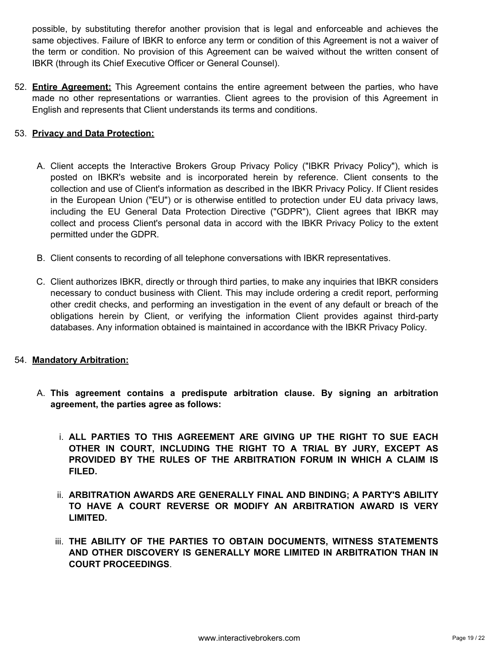possible, by substituting therefor another provision that is legal and enforceable and achieves the same objectives. Failure of IBKR to enforce any term or condition of this Agreement is not a waiver of the term or condition. No provision of this Agreement can be waived without the written consent of IBKR (through its Chief Executive Officer or General Counsel).

52. **Entire Agreement:** This Agreement contains the entire agreement between the parties, who have made no other representations or warranties. Client agrees to the provision of this Agreement in English and represents that Client understands its terms and conditions.

# 53. **Privacy and Data Protection:**

- A. Client accepts the Interactive Brokers Group Privacy Policy ("IBKR Privacy Policy"), which is posted on IBKR's website and is incorporated herein by reference. Client consents to the collection and use of Client's information as described in the IBKR Privacy Policy. If Client resides in the European Union ("EU") or is otherwise entitled to protection under EU data privacy laws, including the EU General Data Protection Directive ("GDPR"), Client agrees that IBKR may collect and process Client's personal data in accord with the IBKR Privacy Policy to the extent permitted under the GDPR.
- B. Client consents to recording of all telephone conversations with IBKR representatives.
- C. Client authorizes IBKR, directly or through third parties, to make any inquiries that IBKR considers necessary to conduct business with Client. This may include ordering a credit report, performing other credit checks, and performing an investigation in the event of any default or breach of the obligations herein by Client, or verifying the information Client provides against third-party databases. Any information obtained is maintained in accordance with the IBKR Privacy Policy.

## 54. **Mandatory Arbitration:**

- A. **This agreement contains a predispute arbitration clause. By signing an arbitration agreement, the parties agree as follows:**
	- i. **ALL PARTIES TO THIS AGREEMENT ARE GIVING UP THE RIGHT TO SUE EACH OTHER IN COURT, INCLUDING THE RIGHT TO A TRIAL BY JURY, EXCEPT AS PROVIDED BY THE RULES OF THE ARBITRATION FORUM IN WHICH A CLAIM IS FILED.**
	- ii. **ARBITRATION AWARDS ARE GENERALLY FINAL AND BINDING; A PARTY'S ABILITY TO HAVE A COURT REVERSE OR MODIFY AN ARBITRATION AWARD IS VERY LIMITED.**
	- iii. **THE ABILITY OF THE PARTIES TO OBTAIN DOCUMENTS, WITNESS STATEMENTS AND OTHER DISCOVERY IS GENERALLY MORE LIMITED IN ARBITRATION THAN IN COURT PROCEEDINGS**.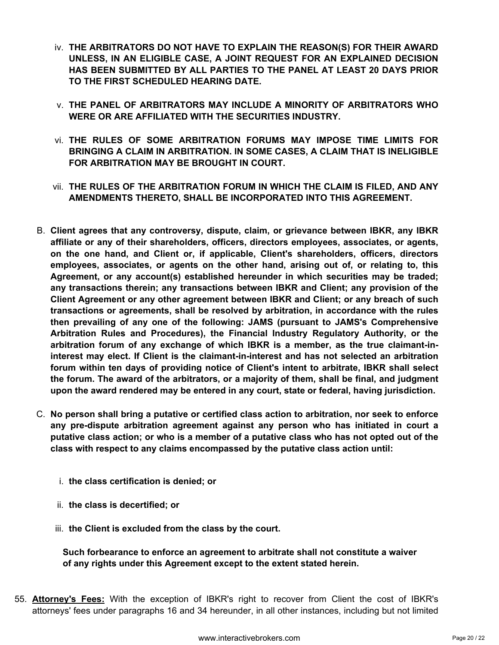- iv. **THE ARBITRATORS DO NOT HAVE TO EXPLAIN THE REASON(S) FOR THEIR AWARD UNLESS, IN AN ELIGIBLE CASE, A JOINT REQUEST FOR AN EXPLAINED DECISION HAS BEEN SUBMITTED BY ALL PARTIES TO THE PANEL AT LEAST 20 DAYS PRIOR TO THE FIRST SCHEDULED HEARING DATE.**
- v. **THE PANEL OF ARBITRATORS MAY INCLUDE A MINORITY OF ARBITRATORS WHO WERE OR ARE AFFILIATED WITH THE SECURITIES INDUSTRY.**
- vi. **THE RULES OF SOME ARBITRATION FORUMS MAY IMPOSE TIME LIMITS FOR BRINGING A CLAIM IN ARBITRATION. IN SOME CASES, A CLAIM THAT IS INELIGIBLE FOR ARBITRATION MAY BE BROUGHT IN COURT.**
- vii. **THE RULES OF THE ARBITRATION FORUM IN WHICH THE CLAIM IS FILED, AND ANY AMENDMENTS THERETO, SHALL BE INCORPORATED INTO THIS AGREEMENT.**
- B. **Client agrees that any controversy, dispute, claim, or grievance between IBKR, any IBKR affiliate or any of their shareholders, officers, directors employees, associates, or agents, on the one hand, and Client or, if applicable, Client's shareholders, officers, directors employees, associates, or agents on the other hand, arising out of, or relating to, this Agreement, or any account(s) established hereunder in which securities may be traded; any transactions therein; any transactions between IBKR and Client; any provision of the Client Agreement or any other agreement between IBKR and Client; or any breach of such transactions or agreements, shall be resolved by arbitration, in accordance with the rules then prevailing of any one of the following: JAMS (pursuant to JAMS's Comprehensive Arbitration Rules and Procedures), the Financial Industry Regulatory Authority, or the arbitration forum of any exchange of which IBKR is a member, as the true claimant-ininterest may elect. If Client is the claimant-in-interest and has not selected an arbitration forum within ten days of providing notice of Client's intent to arbitrate, IBKR shall select the forum. The award of the arbitrators, or a majority of them, shall be final, and judgment upon the award rendered may be entered in any court, state or federal, having jurisdiction.**
- C. **No person shall bring a putative or certified class action to arbitration, nor seek to enforce any pre-dispute arbitration agreement against any person who has initiated in court a putative class action; or who is a member of a putative class who has not opted out of the class with respect to any claims encompassed by the putative class action until:**
	- i. **the class certification is denied; or**
	- ii. **the class is decertified; or**
	- iii. **the Client is excluded from the class by the court.**

**Such forbearance to enforce an agreement to arbitrate shall not constitute a waiver of any rights under this Agreement except to the extent stated herein.**

55. **Attorney's Fees:** With the exception of IBKR's right to recover from Client the cost of IBKR's attorneys' fees under paragraphs 16 and 34 hereunder, in all other instances, including but not limited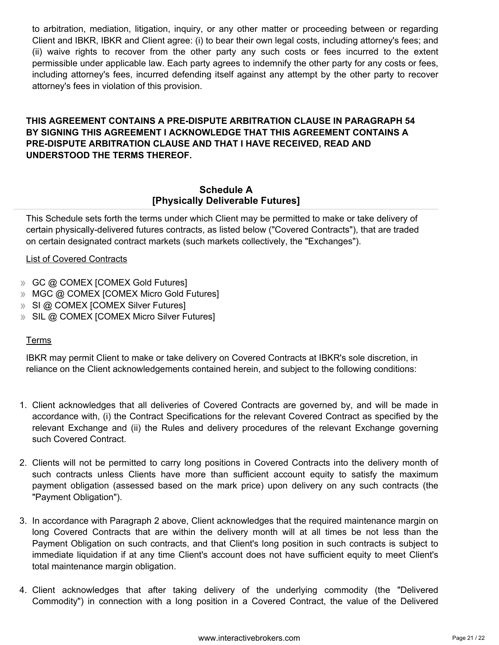to arbitration, mediation, litigation, inquiry, or any other matter or proceeding between or regarding Client and IBKR, IBKR and Client agree: (i) to bear their own legal costs, including attorney's fees; and (ii) waive rights to recover from the other party any such costs or fees incurred to the extent permissible under applicable law. Each party agrees to indemnify the other party for any costs or fees, including attorney's fees, incurred defending itself against any attempt by the other party to recover attorney's fees in violation of this provision.

# **THIS AGREEMENT CONTAINS A PRE-DISPUTE ARBITRATION CLAUSE IN PARAGRAPH 54 BY SIGNING THIS AGREEMENT I ACKNOWLEDGE THAT THIS AGREEMENT CONTAINS A PRE-DISPUTE ARBITRATION CLAUSE AND THAT I HAVE RECEIVED, READ AND UNDERSTOOD THE TERMS THEREOF.**

# **Schedule A [Physically Deliverable Futures]**

This Schedule sets forth the terms under which Client may be permitted to make or take delivery of certain physically-delivered futures contracts, as listed below ("Covered Contracts"), that are traded on certain designated contract markets (such markets collectively, the "Exchanges").

# List of Covered Contracts

- GC @ COMEX [COMEX Gold Futures]
- MGC @ COMEX [COMEX Micro Gold Futures]
- **SI @ COMEX [COMEX Silver Futures]**
- **SIL @ COMEX [COMEX Micro Silver Futures]**

## **Terms**

IBKR may permit Client to make or take delivery on Covered Contracts at IBKR's sole discretion, in reliance on the Client acknowledgements contained herein, and subject to the following conditions:

- 1. Client acknowledges that all deliveries of Covered Contracts are governed by, and will be made in accordance with, (i) the Contract Specifications for the relevant Covered Contract as specified by the relevant Exchange and (ii) the Rules and delivery procedures of the relevant Exchange governing such Covered Contract.
- 2. Clients will not be permitted to carry long positions in Covered Contracts into the delivery month of such contracts unless Clients have more than sufficient account equity to satisfy the maximum payment obligation (assessed based on the mark price) upon delivery on any such contracts (the "Payment Obligation").
- 3. In accordance with Paragraph 2 above, Client acknowledges that the required maintenance margin on long Covered Contracts that are within the delivery month will at all times be not less than the Payment Obligation on such contracts, and that Client's long position in such contracts is subject to immediate liquidation if at any time Client's account does not have sufficient equity to meet Client's total maintenance margin obligation.
- 4. Client acknowledges that after taking delivery of the underlying commodity (the "Delivered Commodity") in connection with a long position in a Covered Contract, the value of the Delivered